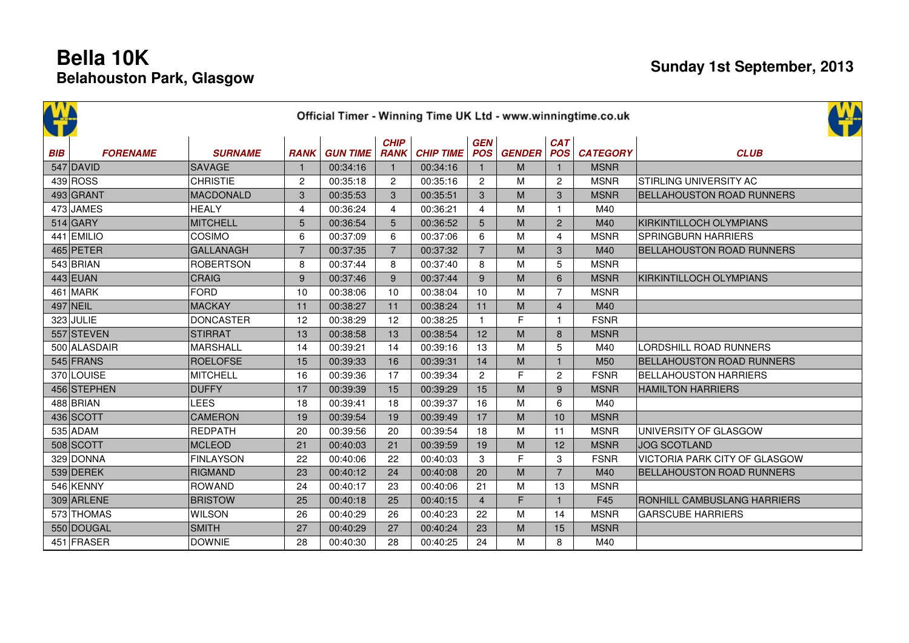|            | Official Timer - Winning Time UK Ltd - www.winningtime.co.uk |                  |                |                 |                            |                  |                |                   |                   |                 |                                  |  |  |  |  |
|------------|--------------------------------------------------------------|------------------|----------------|-----------------|----------------------------|------------------|----------------|-------------------|-------------------|-----------------|----------------------------------|--|--|--|--|
| <b>BIB</b> | <b>FORENAME</b>                                              | <b>SURNAME</b>   | <b>RANK</b>    | <b>GUN TIME</b> | <b>CHIP</b><br><b>RANK</b> | <b>CHIP TIME</b> | <b>GEN</b>     | <b>POS GENDER</b> | CAT<br><b>POS</b> | <b>CATEGORY</b> | <b>CLUB</b>                      |  |  |  |  |
|            | $547$ DAVID                                                  | <b>SAVAGE</b>    | $\mathbf{1}$   | 00:34:16        | $\mathbf{1}$               | 00:34:16         | $\mathbf{1}$   | M                 | $\mathbf{1}$      | <b>MSNR</b>     |                                  |  |  |  |  |
|            | 439 ROS                                                      | <b>CHRISTIE</b>  | $\overline{c}$ | 00:35:18        | $\overline{2}$             | 00:35:16         | $\overline{c}$ | M                 | 2                 | <b>MSNR</b>     | <b>STIRLING UNIVERSITY AC</b>    |  |  |  |  |
|            | 493 GRANT                                                    | MACDONALD        | 3              | 00:35:53        | 3                          | 00:35:51         | 3              | M                 | $\mathbf{3}$      | <b>MSNR</b>     | <b>BELLAHOUSTON ROAD RUNNERS</b> |  |  |  |  |
|            | 473 JAMES                                                    | <b>HEALY</b>     | $\overline{4}$ | 00:36:24        | 4                          | 00:36:21         | $\overline{4}$ | M                 | $\mathbf{1}$      | M40             |                                  |  |  |  |  |
|            | $514$ GARY                                                   | MITCHELL         | 5              | 00:36:54        | 5                          | 00:36:52         | 5              | M                 | 2                 | M40             | KIRKINTILLOCH OLYMPIANS          |  |  |  |  |
|            | 441 EMILIO                                                   | COSIMO           | 6              | 00:37:09        | 6                          | 00:37:06         | 6              | M                 | $\overline{4}$    | <b>MSNR</b>     | <b>SPRINGBURN HARRIERS</b>       |  |  |  |  |
|            | 465 PETER                                                    | <b>GALLANAGH</b> | $\overline{7}$ | 00:37:35        | $\overline{7}$             | 00:37:32         | $\overline{7}$ | M                 | $\mathbf{3}$      | M40             | <b>BELLAHOUSTON ROAD RUNNERS</b> |  |  |  |  |
|            | 543 BRIAN                                                    | <b>ROBERTSON</b> | 8              | 00:37:44        | 8                          | 00:37:40         | 8              | M                 | 5                 | <b>MSNR</b>     |                                  |  |  |  |  |
|            | 443 EUAN                                                     | <b>CRAIG</b>     | 9              | 00:37:46        | 9                          | 00:37:44         | 9              | M                 | 6                 | <b>MSNR</b>     | KIRKINTILLOCH OLYMPIANS          |  |  |  |  |
|            | $461$ MARK                                                   | <b>FORD</b>      | 10             | 00:38:06        | 10                         | 00:38:04         | 10             | M                 | $\overline{7}$    | <b>MSNR</b>     |                                  |  |  |  |  |
|            | 497 NEIL                                                     | <b>MACKAY</b>    | 11             | 00:38:27        | 11                         | 00:38:24         | 11             | M                 | $\overline{4}$    | M40             |                                  |  |  |  |  |
|            | $323$ JULIE                                                  | <b>DONCASTER</b> | 12             | 00:38:29        | 12                         | 00:38:25         | $\mathbf{1}$   | F                 | $\mathbf{1}$      | <b>FSNR</b>     |                                  |  |  |  |  |
|            | 557 STEVEN                                                   | <b>STIRRAT</b>   | 13             | 00:38:58        | 13                         | 00:38:54         | 12             | M                 | 8                 | <b>MSNR</b>     |                                  |  |  |  |  |
|            | 500 ALASDAIR                                                 | <b>MARSHALL</b>  | 14             | 00:39:21        | 14                         | 00:39:16         | 13             | M                 | 5                 | M40             | LORDSHILL ROAD RUNNERS           |  |  |  |  |
|            | $545$ FRANS                                                  | <b>ROELOFSE</b>  | 15             | 00:39:33        | 16                         | 00:39:31         | 14             | M                 | $\mathbf{1}$      | M50             | <b>BELLAHOUSTON ROAD RUNNERS</b> |  |  |  |  |
|            | 370 LOUISE                                                   | <b>MITCHELL</b>  | 16             | 00:39:36        | 17                         | 00:39:34         | $\mathbf{2}$   | F                 | 2                 | <b>FSNR</b>     | <b>BELLAHOUSTON HARRIERS</b>     |  |  |  |  |
|            | 456 STEPHEN                                                  | <b>DUFFY</b>     | 17             | 00:39:39        | 15                         | 00:39:29         | 15             | M                 | 9                 | <b>MSNR</b>     | <b>HAMILTON HARRIERS</b>         |  |  |  |  |
|            | 488 BRIAN                                                    | <b>LEES</b>      | 18             | 00:39:41        | 18                         | 00:39:37         | 16             | M                 | 6                 | M40             |                                  |  |  |  |  |
|            | 436 SCOTT                                                    | <b>CAMERON</b>   | 19             | 00:39:54        | 19                         | 00:39:49         | 17             | M                 | 10                | <b>MSNR</b>     |                                  |  |  |  |  |
|            | $535$ ADAM                                                   | <b>REDPATH</b>   | 20             | 00:39:56        | 20                         | 00:39:54         | 18             | M                 | 11                | <b>MSNR</b>     | UNIVERSITY OF GLASGOW            |  |  |  |  |
|            | 508 SCOTT                                                    | <b>MCLEOD</b>    | 21             | 00:40:03        | 21                         | 00:39:59         | 19             | M                 | 12                | <b>MSNR</b>     | <b>JOG SCOTLAND</b>              |  |  |  |  |
|            | 329 DONNA                                                    | <b>FINLAYSON</b> | 22             | 00:40:06        | 22                         | 00:40:03         | 3              | $\mathsf{F}$      | 3                 | <b>FSNR</b>     | VICTORIA PARK CITY OF GLASGOW    |  |  |  |  |
|            | 539 DEREK                                                    | <b>RIGMAND</b>   | 23             | 00:40:12        | 24                         | 00:40:08         | 20             | M                 | $\overline{7}$    | M40             | <b>BELLAHOUSTON ROAD RUNNERS</b> |  |  |  |  |
|            | 546 KENNY                                                    | <b>ROWAND</b>    | 24             | 00:40:17        | 23                         | 00:40:06         | 21             | M                 | 13                | <b>MSNR</b>     |                                  |  |  |  |  |
|            | 309 ARLENE                                                   | <b>BRISTOW</b>   | 25             | 00:40:18        | 25                         | 00:40:15         | $\overline{4}$ | F                 | $\mathbf{1}$      | F45             | RONHILL CAMBUSLANG HARRIERS      |  |  |  |  |
|            | 573 THOMAS                                                   | <b>WILSON</b>    | 26             | 00:40:29        | 26                         | 00:40:23         | 22             | M                 | 14                | <b>MSNR</b>     | <b>GARSCUBE HARRIERS</b>         |  |  |  |  |
|            | 550 DOUGAL                                                   | <b>SMITH</b>     | 27             | 00:40:29        | 27                         | 00:40:24         | 23             | M                 | 15                | <b>MSNR</b>     |                                  |  |  |  |  |
|            | 451 FRASER                                                   | <b>DOWNIE</b>    | 28             | 00:40:30        | 28                         | 00:40:25         | 24             | M                 | 8                 | M40             |                                  |  |  |  |  |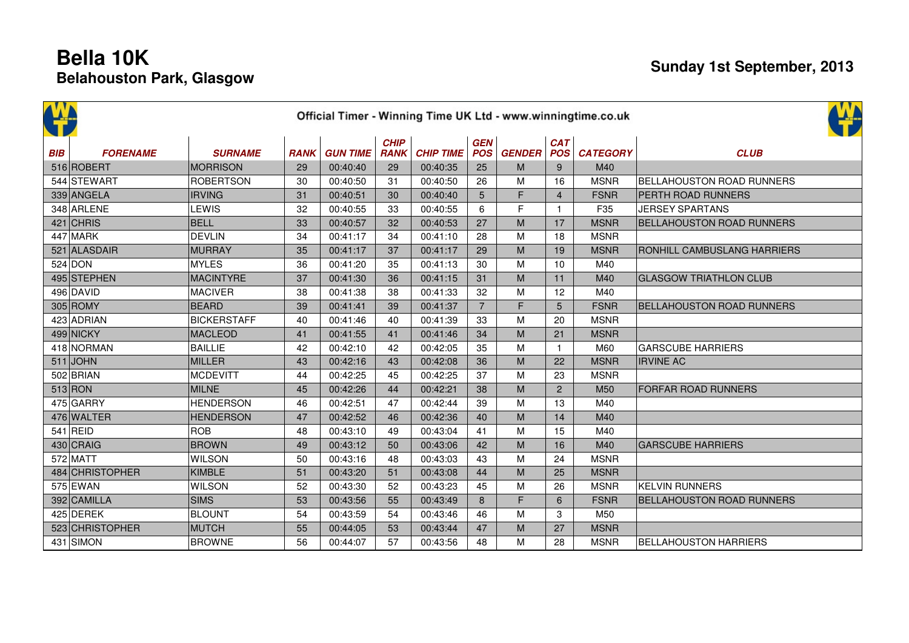|            | Official Timer - Winning Time UK Ltd - www.winningtime.co.uk |                    |             |                 |                            |                  |                          |                                                                                                            |                          |                 |                                  |  |  |  |  |
|------------|--------------------------------------------------------------|--------------------|-------------|-----------------|----------------------------|------------------|--------------------------|------------------------------------------------------------------------------------------------------------|--------------------------|-----------------|----------------------------------|--|--|--|--|
| <b>BIB</b> | <b>FORENAME</b>                                              | <b>SURNAME</b>     | <b>RANK</b> | <b>GUN TIME</b> | <b>CHIP</b><br><b>RANK</b> | <b>CHIP TIME</b> | <b>GEN</b><br><b>POS</b> | <b>GENDER</b>                                                                                              | <b>CAT</b><br><b>POS</b> | <b>CATEGORY</b> | <b>CLUB</b>                      |  |  |  |  |
|            | 516 ROBERT                                                   | <b>MORRISON</b>    | 29          | 00:40:40        | 29                         | 00:40:35         | 25                       | M                                                                                                          | 9                        | M40             |                                  |  |  |  |  |
|            | 544 STEWART                                                  | <b>ROBERTSON</b>   | 30          | 00:40:50        | 31                         | 00:40:50         | 26                       | M                                                                                                          | 16                       | <b>MSNR</b>     | <b>BELLAHOUSTON ROAD RUNNERS</b> |  |  |  |  |
|            | 339 ANGELA                                                   | <b>IRVING</b>      | 31          | 00:40:51        | 30                         | 00:40:40         | 5                        | F                                                                                                          | $\overline{4}$           | <b>FSNR</b>     | PERTH ROAD RUNNERS               |  |  |  |  |
|            | 348 ARLENE                                                   | <b>LEWIS</b>       | 32          | 00:40:55        | 33                         | 00:40:55         | 6                        | F                                                                                                          | $\mathbf{1}$             | F35             | <b>JERSEY SPARTANS</b>           |  |  |  |  |
|            | $421$ CHRIS                                                  | <b>BELL</b>        | 33          | 00:40:57        | 32                         | 00:40:53         | 27                       | M                                                                                                          | 17                       | <b>MSNR</b>     | <b>BELLAHOUSTON ROAD RUNNERS</b> |  |  |  |  |
|            | 447 MARK                                                     | <b>DEVLIN</b>      | 34          | 00:41:17        | 34                         | 00:41:10         | 28                       | M                                                                                                          | 18                       | <b>MSNR</b>     |                                  |  |  |  |  |
|            | 521 ALASDAIR                                                 | <b>MURRAY</b>      | 35          | 00:41:17        | 37                         | 00:41:17         | 29                       | $\mathsf{M}% _{T}=\mathsf{M}_{T}\!\left( a,b\right) ,\ \mathsf{M}_{T}=\mathsf{M}_{T}\!\left( a,b\right) ,$ | 19                       | <b>MSNR</b>     | RONHILL CAMBUSLANG HARRIERS      |  |  |  |  |
|            | 524 DOM                                                      | <b>MYLES</b>       | 36          | 00:41:20        | 35                         | 00:41:13         | 30                       | M                                                                                                          | 10                       | M40             |                                  |  |  |  |  |
|            | 495 STEPHEN                                                  | <b>MACINTYRE</b>   | 37          | 00:41:30        | 36                         | 00:41:15         | 31                       | M                                                                                                          | 11                       | M40             | <b>GLASGOW TRIATHLON CLUB</b>    |  |  |  |  |
|            | 496 DAVID                                                    | <b>MACIVER</b>     | 38          | 00:41:38        | 38                         | 00:41:33         | 32                       | M                                                                                                          | 12                       | M40             |                                  |  |  |  |  |
|            | $305$ ROMY                                                   | <b>BEARD</b>       | 39          | 00:41:41        | 39                         | 00:41:37         | $\overline{7}$           | F                                                                                                          | $5\phantom{.0}$          | <b>FSNR</b>     | <b>BELLAHOUSTON ROAD RUNNERS</b> |  |  |  |  |
|            | 423 ADRIAN                                                   | <b>BICKERSTAFF</b> | 40          | 00:41:46        | 40                         | 00:41:39         | 33                       | M                                                                                                          | 20                       | <b>MSNR</b>     |                                  |  |  |  |  |
|            | 499 NICKY                                                    | <b>MACLEOD</b>     | 41          | 00:41:55        | 41                         | 00:41:46         | 34                       | M                                                                                                          | 21                       | <b>MSNR</b>     |                                  |  |  |  |  |
|            | 418 NORMAN                                                   | <b>BAILLIE</b>     | 42          | 00:42:10        | 42                         | 00:42:05         | 35                       | М                                                                                                          | $\mathbf{1}$             | M60             | <b>GARSCUBE HARRIERS</b>         |  |  |  |  |
|            | $511$ JOHN                                                   | <b>MILLER</b>      | 43          | 00:42:16        | 43                         | 00:42:08         | 36                       | M                                                                                                          | 22                       | <b>MSNR</b>     | <b>IRVINE AC</b>                 |  |  |  |  |
|            | $502$ BRIAN                                                  | <b>MCDEVITT</b>    | 44          | 00:42:25        | 45                         | 00:42:25         | 37                       | M                                                                                                          | 23                       | <b>MSNR</b>     |                                  |  |  |  |  |
|            | $513$ RON                                                    | <b>MILNE</b>       | 45          | 00:42:26        | 44                         | 00:42:21         | 38                       | M                                                                                                          | $\overline{2}$           | M50             | <b>FORFAR ROAD RUNNERS</b>       |  |  |  |  |
|            | $475$ GARRY                                                  | <b>HENDERSON</b>   | 46          | 00:42:51        | 47                         | 00:42:44         | 39                       | M                                                                                                          | 13                       | M40             |                                  |  |  |  |  |
|            | 476 WALTER                                                   | <b>HENDERSON</b>   | 47          | 00:42:52        | 46                         | 00:42:36         | 40                       | M                                                                                                          | 14                       | M40             |                                  |  |  |  |  |
|            | $541$ REID                                                   | <b>ROB</b>         | 48          | 00:43:10        | 49                         | 00:43:04         | 41                       | М                                                                                                          | 15                       | M40             |                                  |  |  |  |  |
|            | 430 CRAIG                                                    | <b>BROWN</b>       | 49          | 00:43:12        | 50                         | 00:43:06         | 42                       | M                                                                                                          | 16                       | M40             | <b>GARSCUBE HARRIERS</b>         |  |  |  |  |
|            | 572 MATT                                                     | <b>WILSON</b>      | 50          | 00:43:16        | 48                         | 00:43:03         | 43                       | M                                                                                                          | 24                       | <b>MSNR</b>     |                                  |  |  |  |  |
|            | 484 CHRISTOPHER                                              | <b>KIMBLE</b>      | 51          | 00:43:20        | 51                         | 00:43:08         | 44                       | M                                                                                                          | 25                       | <b>MSNR</b>     |                                  |  |  |  |  |
|            | 575 EWAN                                                     | <b>WILSON</b>      | 52          | 00:43:30        | 52                         | 00:43:23         | 45                       | M                                                                                                          | 26                       | <b>MSNR</b>     | <b>KELVIN RUNNERS</b>            |  |  |  |  |
|            | 392 CAMILLA                                                  | <b>SIMS</b>        | 53          | 00:43:56        | 55                         | 00:43:49         | 8                        | F                                                                                                          | 6                        | <b>FSNR</b>     | <b>BELLAHOUSTON ROAD RUNNERS</b> |  |  |  |  |
|            | 425 DEREK                                                    | <b>BLOUNT</b>      | 54          | 00:43:59        | 54                         | 00:43:46         | 46                       | M                                                                                                          | 3                        | M50             |                                  |  |  |  |  |
|            | 523 CHRISTOPHER                                              | <b>MUTCH</b>       | 55          | 00:44:05        | 53                         | 00:43:44         | 47                       | M                                                                                                          | 27                       | <b>MSNR</b>     |                                  |  |  |  |  |
|            | 431 SIMON                                                    | <b>BROWNE</b>      | 56          | 00:44:07        | 57                         | 00:43:56         | 48                       | M                                                                                                          | 28                       | <b>MSNR</b>     | <b>BELLAHOUSTON HARRIERS</b>     |  |  |  |  |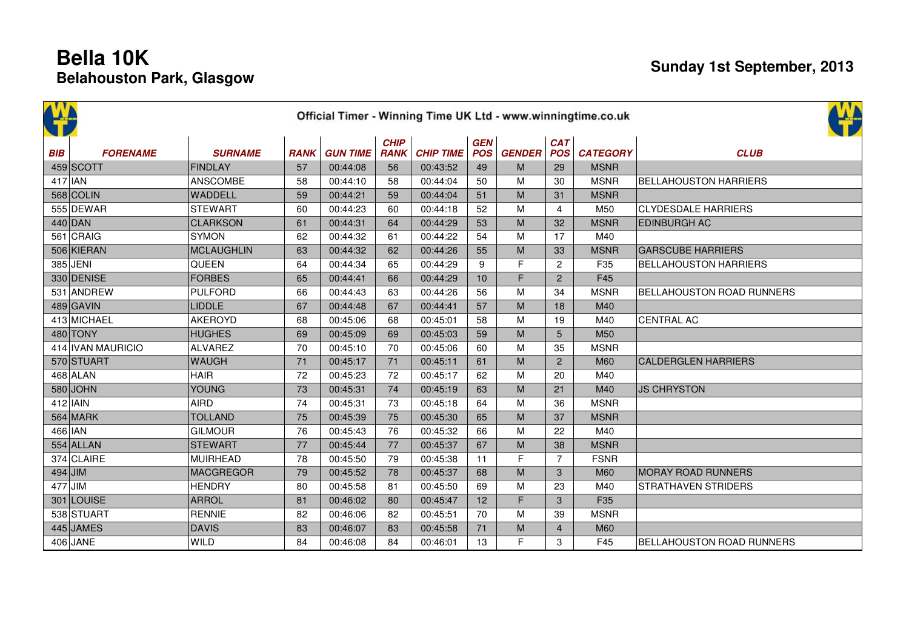|            |                   |                   |             |                 |                            |                  |                          |               |                          | Official Timer - Winning Time UK Ltd - www.winningtime.co.uk |                                  |
|------------|-------------------|-------------------|-------------|-----------------|----------------------------|------------------|--------------------------|---------------|--------------------------|--------------------------------------------------------------|----------------------------------|
| W          |                   |                   |             |                 |                            |                  |                          |               |                          |                                                              |                                  |
| <b>BIB</b> | <b>FORENAME</b>   | <b>SURNAME</b>    | <b>RANK</b> | <b>GUN TIME</b> | <b>CHIP</b><br><b>RANK</b> | <b>CHIP TIME</b> | <b>GEN</b><br><b>POS</b> | <b>GENDER</b> | <b>CAT</b><br><b>POS</b> | <b>CATEGORY</b>                                              | <b>CLUB</b>                      |
|            | 459 SCOTT         | <b>FINDLAY</b>    | 57          | 00:44:08        | 56                         | 00:43:52         | 49                       | M             | 29                       | <b>MSNR</b>                                                  |                                  |
| $417$  JAN |                   | <b>ANSCOMBE</b>   | 58          | 00:44:10        | 58                         | 00:44:04         | 50                       | M             | 30                       | <b>MSNR</b>                                                  | <b>BELLAHOUSTON HARRIERS</b>     |
|            | 568 COLIN         | WADDELL           | 59          | 00:44:21        | 59                         | 00:44:04         | 51                       | M             | 31                       | <b>MSNR</b>                                                  |                                  |
|            | 555 DEWAR         | <b>STEWART</b>    | 60          | 00:44:23        | 60                         | 00:44:18         | 52                       | M             | $\overline{4}$           | M50                                                          | <b>CLYDESDALE HARRIERS</b>       |
|            | $440$ DAN         | <b>CLARKSON</b>   | 61          | 00:44:31        | 64                         | 00:44:29         | 53                       | M             | 32                       | <b>MSNR</b>                                                  | <b>EDINBURGH AC</b>              |
|            | 561 CRAIG         | <b>SYMON</b>      | 62          | 00:44:32        | 61                         | 00:44:22         | 54                       | M             | 17                       | M40                                                          |                                  |
|            | 506 KIERAN        | <b>MCLAUGHLIN</b> | 63          | 00:44:32        | 62                         | 00:44:26         | 55                       | M             | 33                       | <b>MSNR</b>                                                  | <b>GARSCUBE HARRIERS</b>         |
|            | 385 JENI          | QUEEN             | 64          | 00:44:34        | 65                         | 00:44:29         | 9                        | F             | $\mathbf{2}$             | F35                                                          | <b>BELLAHOUSTON HARRIERS</b>     |
|            | 330 DENISE        | <b>FORBES</b>     | 65          | 00:44:41        | 66                         | 00:44:29         | 10                       | F             | $\overline{c}$           | F45                                                          |                                  |
|            | 531 ANDREW        | <b>PULFORD</b>    | 66          | 00:44:43        | 63                         | 00:44:26         | 56                       | M             | 34                       | <b>MSNR</b>                                                  | <b>BELLAHOUSTON ROAD RUNNERS</b> |
|            | 489 GAVIN         | <b>LIDDLE</b>     | 67          | 00:44:48        | 67                         | 00:44:41         | 57                       | M             | 18                       | M40                                                          |                                  |
|            | 413 MICHAEL       | <b>AKEROYD</b>    | 68          | 00:45:06        | 68                         | 00:45:01         | 58                       | M             | 19                       | M40                                                          | <b>CENTRAL AC</b>                |
|            | 480 TONY          | <b>HUGHES</b>     | 69          | 00:45:09        | 69                         | 00:45:03         | 59                       | M             | 5                        | M50                                                          |                                  |
|            | 414 IVAN MAURICIO | <b>ALVAREZ</b>    | 70          | 00:45:10        | 70                         | 00:45:06         | 60                       | M             | 35                       | <b>MSNR</b>                                                  |                                  |
|            | 570 STUART        | <b>WAUGH</b>      | 71          | 00:45:17        | 71                         | 00:45:11         | 61                       | M             | $\overline{2}$           | <b>M60</b>                                                   | <b>CALDERGLEN HARRIERS</b>       |
|            | $468$ ALAN        | <b>HAIR</b>       | 72          | 00:45:23        | 72                         | 00:45:17         | 62                       | M             | 20                       | M40                                                          |                                  |
|            | $580$ JOHN        | <b>YOUNG</b>      | 73          | 00:45:31        | 74                         | 00:45:19         | 63                       | M             | 21                       | M40                                                          | <b>JS CHRYSTON</b>               |
|            | $412$ IAIN        | <b>AIRD</b>       | 74          | 00:45:31        | 73                         | 00:45:18         | 64                       | M             | 36                       | <b>MSNR</b>                                                  |                                  |
|            | 564 MARK          | <b>TOLLAND</b>    | 75          | 00:45:39        | 75                         | 00:45:30         | 65                       | M             | 37                       | <b>MSNR</b>                                                  |                                  |
| 466 IAN    |                   | <b>GILMOUR</b>    | 76          | 00:45:43        | 76                         | 00:45:32         | 66                       | M             | 22                       | M40                                                          |                                  |
|            | $554$ ALLAN       | <b>STEWART</b>    | 77          | 00:45:44        | 77                         | 00:45:37         | 67                       | M             | 38                       | <b>MSNR</b>                                                  |                                  |
|            | 374 CLAIRE        | <b>MUIRHEAD</b>   | 78          | 00:45:50        | 79                         | 00:45:38         | 11                       | F             | $\overline{7}$           | <b>FSNR</b>                                                  |                                  |
| $494$ JIM  |                   | <b>MACGREGOR</b>  | 79          | 00:45:52        | 78                         | 00:45:37         | 68                       | M             | 3                        | <b>M60</b>                                                   | <b>MORAY ROAD RUNNERS</b>        |
| $477$ JIM  |                   | <b>HENDRY</b>     | 80          | 00:45:58        | 81                         | 00:45:50         | 69                       | M             | 23                       | M40                                                          | <b>STRATHAVEN STRIDERS</b>       |
|            | 301 LOUISE        | <b>ARROL</b>      | 81          | 00:46:02        | 80                         | 00:45:47         | 12                       | F             | 3                        | F35                                                          |                                  |
|            | 538 STUART        | <b>RENNIE</b>     | 82          | 00:46:06        | 82                         | 00:45:51         | 70                       | M             | 39                       | <b>MSNR</b>                                                  |                                  |
|            | 445 JAMES         | <b>DAVIS</b>      | 83          | 00:46:07        | 83                         | 00:45:58         | 71                       | M             | $\overline{4}$           | <b>M60</b>                                                   |                                  |
|            | $406$ JANE        | WILD              | 84          | 00:46:08        | 84                         | 00:46:01         | 13                       | F             | 3                        | F45                                                          | BELLAHOUSTON ROAD RUNNERS        |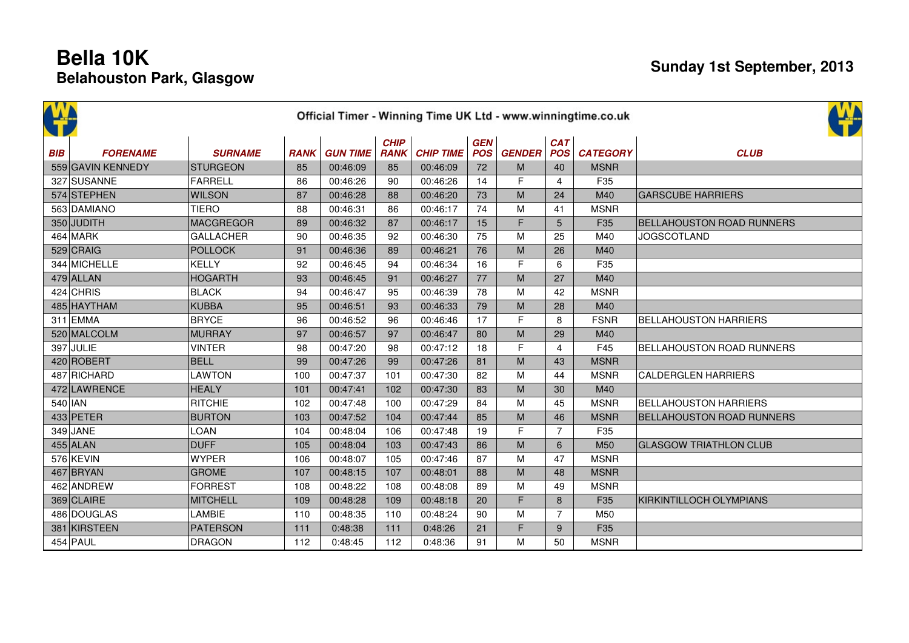| <b>BIB</b> | <b>FORENAME</b>   | <b>SURNAME</b>   | <b>RANK</b> | <b>GUN TIME</b> | <b>CHIP</b><br><b>RANK</b> | <b>CHIP TIME</b> | <b>GEN</b><br><b>POS</b> | <b>GENDER</b> | <b>CAT</b><br><b>POS</b> | <b>CATEGORY</b> | <b>CLUB</b>                      |
|------------|-------------------|------------------|-------------|-----------------|----------------------------|------------------|--------------------------|---------------|--------------------------|-----------------|----------------------------------|
|            | 559 GAVIN KENNEDY | <b>STURGEON</b>  | 85          | 00:46:09        | 85                         | 00:46:09         | 72                       | M             | 40                       | <b>MSNR</b>     |                                  |
|            | 327 SUSANNE       | FARRELL          | 86          | 00:46:26        | 90                         | 00:46:26         | 14                       | $\mathsf F$   | $\overline{4}$           | F35             |                                  |
|            | 574 STEPHEN       | <b>WILSON</b>    | 87          | 00:46:28        | 88                         | 00:46:20         | 73                       | M             | 24                       | M40             | <b>GARSCUBE HARRIERS</b>         |
|            | 563 DAMIANO       | <b>TIERO</b>     | 88          | 00:46:31        | 86                         | 00:46:17         | 74                       | M             | 41                       | <b>MSNR</b>     |                                  |
|            | 350 JUDITH        | <b>MACGREGOR</b> | 89          | 00:46:32        | 87                         | 00:46:17         | 15                       | $\mathsf F$   | 5                        | F35             | <b>BELLAHOUSTON ROAD RUNNERS</b> |
|            | 464 MARK          | <b>GALLACHER</b> | 90          | 00:46:35        | 92                         | 00:46:30         | 75                       | M             | 25                       | M40             | <b>JOGSCOTLAND</b>               |
|            | 529 CRAIG         | <b>POLLOCK</b>   | 91          | 00:46:36        | 89                         | 00:46:21         | 76                       | M             | 26                       | M40             |                                  |
|            | 344 MICHELLE      | <b>KELLY</b>     | 92          | 00:46:45        | 94                         | 00:46:34         | 16                       | F             | 6                        | F35             |                                  |
|            | $479$ ALLAN       | <b>HOGARTH</b>   | 93          | 00:46:45        | 91                         | 00:46:27         | 77                       | M             | 27                       | M40             |                                  |
|            | $424$ CHRIS       | <b>BLACK</b>     | 94          | 00:46:47        | 95                         | 00:46:39         | 78                       | M             | 42                       | <b>MSNR</b>     |                                  |
|            | 485 HAYTHAM       | <b>KUBBA</b>     | 95          | 00:46:51        | 93                         | 00:46:33         | 79                       | M             | 28                       | M40             |                                  |
|            | $311$ EMMA        | <b>BRYCE</b>     | 96          | 00:46:52        | 96                         | 00:46:46         | 17                       | F             | 8                        | <b>FSNR</b>     | <b>BELLAHOUSTON HARRIERS</b>     |
|            | 520 MALCOLM       | <b>MURRAY</b>    | 97          | 00:46:57        | 97                         | 00:46:47         | 80                       | M             | 29                       | M40             |                                  |
|            | 397 JULIE         | <b>VINTER</b>    | 98          | 00:47:20        | 98                         | 00:47:12         | 18                       | F             | 4                        | F45             | <b>BELLAHOUSTON ROAD RUNNERS</b> |
|            | 420 ROBERT        | <b>BELL</b>      | 99          | 00:47:26        | 99                         | 00:47:26         | 81                       | M             | 43                       | <b>MSNR</b>     |                                  |
|            | 487 RICHARD       | <b>LAWTON</b>    | 100         | 00:47:37        | 101                        | 00:47:30         | 82                       | M             | 44                       | <b>MSNR</b>     | <b>CALDERGLEN HARRIERS</b>       |
|            | 472 LAWRENCE      | <b>HEALY</b>     | 101         | 00:47:41        | 102                        | 00:47:30         | 83                       | M             | 30                       | M40             |                                  |
| $540$  JAN |                   | <b>RITCHIE</b>   | 102         | 00:47:48        | 100                        | 00:47:29         | 84                       | M             | 45                       | <b>MSNR</b>     | <b>BELLAHOUSTON HARRIERS</b>     |
|            | $433$ PETER       | <b>BURTON</b>    | 103         | 00:47:52        | 104                        | 00:47:44         | 85                       | M             | 46                       | <b>MSNR</b>     | <b>BELLAHOUSTON ROAD RUNNERS</b> |
|            | 349 JANE          | LOAN             | 104         | 00:48:04        | 106                        | 00:47:48         | 19                       | F             | $\overline{7}$           | F35             |                                  |
|            | $455$ ALAN        | <b>DUFF</b>      | 105         | 00:48:04        | 103                        | 00:47:43         | 86                       | M             | 6                        | M50             | <b>GLASGOW TRIATHLON CLUB</b>    |
|            | 576 KEVIN         | <b>WYPER</b>     | 106         | 00:48:07        | 105                        | 00:47:46         | 87                       | M             | 47                       | <b>MSNR</b>     |                                  |
|            | 467 BRYAN         | <b>GROME</b>     | 107         | 00:48:15        | 107                        | 00:48:01         | 88                       | M             | 48                       | <b>MSNR</b>     |                                  |
|            | 462 ANDREW        | <b>FORREST</b>   | 108         | 00:48:22        | 108                        | 00:48:08         | 89                       | M             | 49                       | <b>MSNR</b>     |                                  |
|            | 369 CLAIRE        | <b>MITCHELL</b>  | 109         | 00:48:28        | 109                        | 00:48:18         | 20                       | F             | 8                        | F35             | KIRKINTILLOCH OLYMPIANS          |
|            | 486 DOUGLAS       | LAMBIE           | 110         | 00:48:35        | 110                        | 00:48:24         | 90                       | M             | $\overline{7}$           | M50             |                                  |
|            | 381 KIRSTEEN      | <b>PATERSON</b>  | 111         | 0:48:38         | 111                        | 0:48:26          | 21                       | F             | 9                        | F35             |                                  |
|            | $454$ PAUL        | <b>DRAGON</b>    | 112         | 0:48:45         | 112                        | 0:48:36          | 91                       | M             | 50                       | <b>MSNR</b>     |                                  |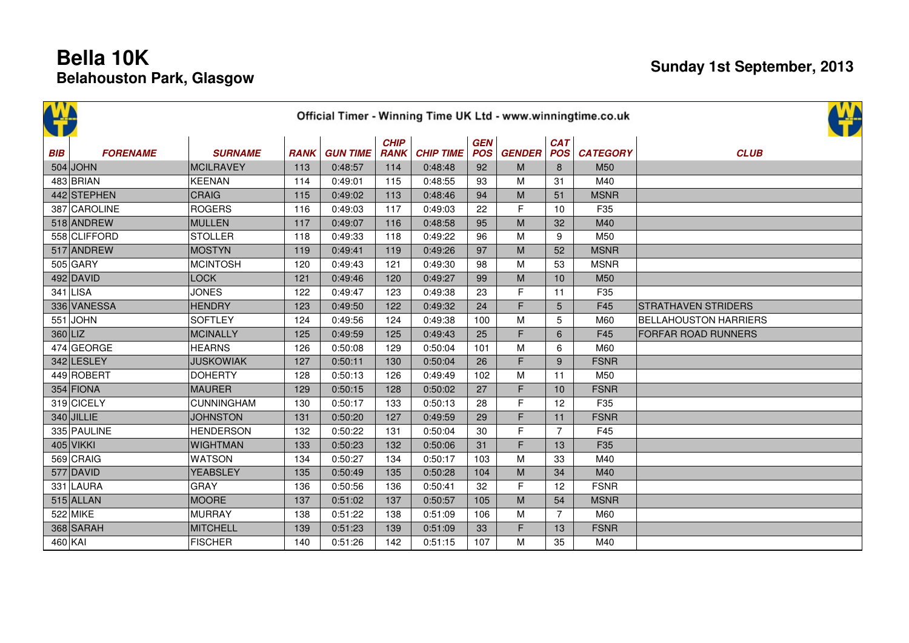|           | <u>W.</u><br>Official Timer - Winning Time UK Ltd - www.winningtime.co.uk |                   |             |                 |                            |                  |                          |               |                   |                 |                              |  |  |  |  |
|-----------|---------------------------------------------------------------------------|-------------------|-------------|-----------------|----------------------------|------------------|--------------------------|---------------|-------------------|-----------------|------------------------------|--|--|--|--|
| BIB       | <b>FORENAME</b>                                                           | <b>SURNAME</b>    | <b>RANK</b> | <b>GUN TIME</b> | <b>CHIP</b><br><b>RANK</b> | <b>CHIP TIME</b> | <b>GEN</b><br><b>POS</b> | <b>GENDER</b> | <b>CAT</b><br>POS | <b>CATEGORY</b> | <b>CLUB</b>                  |  |  |  |  |
|           | $504$ JOHN                                                                | MCILRAVEY         | 113         | 0:48:57         | 114                        | 0:48:48          | 92                       | M             | 8                 | M50             |                              |  |  |  |  |
|           | 483 BRIAN                                                                 | <b>KEENAN</b>     | 114         | 0:49:01         | 115                        | 0:48:55          | 93                       | M             | 31                | M40             |                              |  |  |  |  |
|           | 442 STEPHEN                                                               | <b>CRAIG</b>      | 115         | 0:49:02         | 113                        | 0:48:46          | 94                       | M             | 51                | <b>MSNR</b>     |                              |  |  |  |  |
|           | 387 CAROLINE                                                              | <b>ROGERS</b>     | 116         | 0:49:03         | 117                        | 0:49:03          | 22                       | F             | 10                | F35             |                              |  |  |  |  |
|           | 518 ANDREW                                                                | MULLEN            | 117         | 0:49:07         | 116                        | 0:48:58          | 95                       | M             | 32                | M40             |                              |  |  |  |  |
|           | 558 CLIFFORD                                                              | <b>STOLLER</b>    | 118         | 0:49:33         | 118                        | 0:49:22          | 96                       | M             | 9                 | M50             |                              |  |  |  |  |
|           | 517 ANDREW                                                                | <b>MOSTYN</b>     | 119         | 0:49:41         | 119                        | 0:49:26          | 97                       | M             | 52                | <b>MSNR</b>     |                              |  |  |  |  |
|           | $505$ GARY                                                                | <b>MCINTOSH</b>   | 120         | 0:49:43         | 121                        | 0:49:30          | 98                       | M             | 53                | <b>MSNR</b>     |                              |  |  |  |  |
|           | $492$ DAVID                                                               | <b>LOCK</b>       | 121         | 0:49:46         | 120                        | 0:49:27          | 99                       | M             | 10                | M50             |                              |  |  |  |  |
|           | $341$ LISA                                                                | <b>JONES</b>      | 122         | 0:49:47         | 123                        | 0:49:38          | 23                       | F             | 11                | F35             |                              |  |  |  |  |
|           | 336 VANESSA                                                               | <b>HENDRY</b>     | 123         | 0:49:50         | 122                        | 0:49:32          | 24                       | $\mathsf F$   | 5                 | F45             | <b>STRATHAVEN STRIDERS</b>   |  |  |  |  |
|           | $551$ JOHN                                                                | <b>SOFTLEY</b>    | 124         | 0:49:56         | 124                        | 0:49:38          | 100                      | M             | 5                 | M60             | <b>BELLAHOUSTON HARRIERS</b> |  |  |  |  |
| $360$ LIZ |                                                                           | MCINALLY          | 125         | 0:49:59         | 125                        | 0:49:43          | 25                       | F             | 6                 | F45             | FORFAR ROAD RUNNERS          |  |  |  |  |
|           | 474 GEORGE                                                                | <b>HEARNS</b>     | 126         | 0:50:08         | 129                        | 0:50:04          | 101                      | M             | 6                 | M60             |                              |  |  |  |  |
|           | 342 LESLEY                                                                | <b>JUSKOWIAK</b>  | 127         | 0:50:11         | 130                        | 0:50:04          | 26                       | F             | 9                 | <b>FSNR</b>     |                              |  |  |  |  |
|           | 449 ROBERT                                                                | <b>DOHERTY</b>    | 128         | 0:50:13         | 126                        | 0:49:49          | 102                      | M             | 11                | M50             |                              |  |  |  |  |
|           | $354$ FIONA                                                               | <b>MAURER</b>     | 129         | 0:50:15         | 128                        | 0:50:02          | 27                       | $\mathsf F$   | 10                | <b>FSNR</b>     |                              |  |  |  |  |
|           | 319 CICELY                                                                | <b>CUNNINGHAM</b> | 130         | 0:50:17         | 133                        | 0:50:13          | 28                       | F             | 12                | F35             |                              |  |  |  |  |
|           | $340$ JILLIE                                                              | <b>JOHNSTON</b>   | 131         | 0:50:20         | 127                        | 0:49:59          | 29                       | F             | 11                | <b>FSNR</b>     |                              |  |  |  |  |
|           | 335 PAULINE                                                               | <b>HENDERSON</b>  | 132         | 0:50:22         | 131                        | 0:50:04          | 30                       | F             | $\overline{7}$    | F45             |                              |  |  |  |  |
|           | $405$ VIKKI                                                               | <b>WIGHTMAN</b>   | 133         | 0:50:23         | 132                        | 0:50:06          | 31                       | $\mathsf F$   | 13                | F35             |                              |  |  |  |  |
|           | 569 CRAIG                                                                 | <b>WATSON</b>     | 134         | 0:50:27         | 134                        | 0:50:17          | 103                      | M             | 33                | M40             |                              |  |  |  |  |
|           | $577$ DAVID                                                               | <b>YEABSLEY</b>   | 135         | 0:50:49         | 135                        | 0:50:28          | 104                      | M             | 34                | M40             |                              |  |  |  |  |
|           | 331 LAURA                                                                 | <b>GRAY</b>       | 136         | 0:50:56         | 136                        | 0:50:41          | 32                       | F             | 12                | <b>FSNR</b>     |                              |  |  |  |  |
|           | $515$ ALLAN                                                               | MOORE             | 137         | 0:51:02         | 137                        | 0:50:57          | 105                      | M             | 54                | <b>MSNR</b>     |                              |  |  |  |  |
|           | 522 MIKE                                                                  | MURRAY            | 138         | 0:51:22         | 138                        | 0:51:09          | 106                      | M             | $\overline{7}$    | M60             |                              |  |  |  |  |
|           | 368 SARAH                                                                 | <b>MITCHELL</b>   | 139         | 0:51:23         | 139                        | 0:51:09          | 33                       | $\mathsf F$   | 13                | <b>FSNR</b>     |                              |  |  |  |  |
| $460$ KAI |                                                                           | <b>FISCHER</b>    | 140         | 0:51:26         | 142                        | 0:51:15          | 107                      | M             | 35                | M40             |                              |  |  |  |  |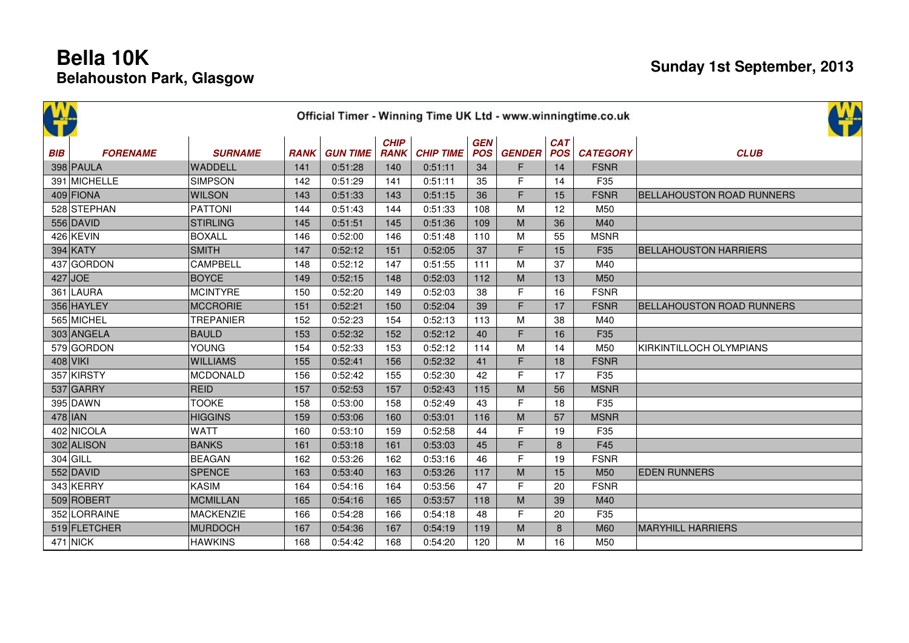| 伴          |                 |                  |             |                 |                            |                  |                          |               |                          |                 |                                  |
|------------|-----------------|------------------|-------------|-----------------|----------------------------|------------------|--------------------------|---------------|--------------------------|-----------------|----------------------------------|
| <b>BIB</b> | <b>FORENAME</b> | <b>SURNAME</b>   | <b>RANK</b> | <b>GUN TIME</b> | <b>CHIP</b><br><b>RANK</b> | <b>CHIP TIME</b> | <b>GEN</b><br><b>POS</b> | <b>GENDER</b> | <b>CAT</b><br><b>POS</b> | <b>CATEGORY</b> | <b>CLUB</b>                      |
|            | 398 PAULA       | WADDELL          | 141         | 0:51:28         | 140                        | 0:51:11          | 34                       | F.            | 14                       | <b>FSNR</b>     |                                  |
|            | 391 MICHELLE    | <b>SIMPSON</b>   | 142         | 0:51:29         | 141                        | 0:51:11          | 35                       | F             | 14                       | F35             |                                  |
|            | 409 FIONA       | <b>WILSON</b>    | 143         | 0:51:33         | 143                        | 0:51:15          | 36                       | F             | 15                       | <b>FSNR</b>     | BELLAHOUSTON ROAD RUNNERS        |
|            | 528 STEPHAN     | <b>PATTONI</b>   | 144         | 0:51:43         | 144                        | 0:51:33          | 108                      | M             | 12                       | M50             |                                  |
|            | 556 DAVID       | <b>STIRLING</b>  | 145         | 0:51:51         | 145                        | 0:51:36          | 109                      | M             | 36                       | M40             |                                  |
|            | 426 KEVIN       | <b>BOXALL</b>    | 146         | 0:52:00         | 146                        | 0:51:48          | 110                      | M             | 55                       | <b>MSNR</b>     |                                  |
|            | 394 KATY        | <b>SMITH</b>     | 147         | 0:52:12         | 151                        | 0:52:05          | 37                       | F             | 15                       | F35             | <b>BELLAHOUSTON HARRIERS</b>     |
|            | 437 GORDON      | CAMPBELL         | 148         | 0:52:12         | 147                        | 0:51:55          | 111                      | M             | 37                       | M40             |                                  |
| $427$ JOE  |                 | <b>BOYCE</b>     | 149         | 0:52:15         | 148                        | 0:52:03          | 112                      | M             | 13                       | M50             |                                  |
|            | 361 LAURA       | <b>MCINTYRE</b>  | 150         | 0:52:20         | 149                        | 0:52:03          | 38                       | F             | 16                       | <b>FSNR</b>     |                                  |
|            | 356 HAYLEY      | <b>MCCRORIE</b>  | 151         | 0:52:21         | 150                        | 0:52:04          | 39                       | F             | 17                       | <b>FSNR</b>     | <b>BELLAHOUSTON ROAD RUNNERS</b> |
|            | 565 MICHEL      | <b>TREPANIER</b> | 152         | 0:52:23         | 154                        | 0:52:13          | 113                      | M             | 38                       | M40             |                                  |
|            | 303 ANGELA      | <b>BAULD</b>     | 153         | 0:52:32         | 152                        | 0:52:12          | 40                       | F             | 16                       | F35             |                                  |
|            | 579 GORDON      | <b>YOUNG</b>     | 154         | 0:52:33         | 153                        | 0:52:12          | 114                      | M             | 14                       | M50             | KIRKINTILLOCH OLYMPIANS          |
| $408$ VIKI |                 | <b>WILLIAMS</b>  | 155         | 0:52:41         | 156                        | 0:52:32          | 41                       | F             | 18                       | <b>FSNR</b>     |                                  |
|            | 357 KIRSTY      | <b>MCDONALD</b>  | 156         | 0:52:42         | 155                        | 0:52:30          | 42                       | F             | 17                       | F35             |                                  |
|            | $537$ GARRY     | <b>REID</b>      | 157         | 0:52:53         | 157                        | 0:52:43          | 115                      | M             | 56                       | <b>MSNR</b>     |                                  |
|            | 395 DAWN        | <b>TOOKE</b>     | 158         | 0:53:00         | 158                        | 0:52:49          | 43                       | F             | 18                       | F35             |                                  |
| $478$  JAN |                 | <b>HIGGINS</b>   | 159         | 0:53:06         | 160                        | 0:53:01          | 116                      | M             | 57                       | <b>MSNR</b>     |                                  |
|            | 402 NICOLA      | <b>WATT</b>      | 160         | 0:53:10         | 159                        | 0:52:58          | 44                       | F             | 19                       | F35             |                                  |
|            | 302 ALISON      | <b>BANKS</b>     | 161         | 0:53:18         | 161                        | 0:53:03          | 45                       | F             | 8                        | F45             |                                  |
| $304$ GILL |                 | <b>BEAGAN</b>    | 162         | 0:53:26         | 162                        | 0:53:16          | 46                       | F             | 19                       | <b>FSNR</b>     |                                  |
|            | $552$ DAVID     | <b>SPENCE</b>    | 163         | 0:53:40         | 163                        | 0:53:26          | 117                      | M             | 15                       | M50             | <b>EDEN RUNNERS</b>              |
|            | 343 KERRY       | <b>KASIM</b>     | 164         | 0:54:16         | 164                        | 0:53:56          | 47                       | F             | 20                       | <b>FSNR</b>     |                                  |
|            | 509 ROBERT      | <b>MCMILLAN</b>  | 165         | 0:54:16         | 165                        | 0:53:57          | 118                      | M             | 39                       | M40             |                                  |
|            | 352 LORRAINE    | <b>MACKENZIE</b> | 166         | 0:54:28         | 166                        | 0:54:18          | 48                       | F             | 20                       | F35             |                                  |
|            | 519 FLETCHER    | <b>MURDOCH</b>   | 167         | 0:54:36         | 167                        | 0:54:19          | 119                      | M             | 8                        | <b>M60</b>      | <b>MARYHILL HARRIERS</b>         |
|            | $471$ NICK      | <b>HAWKINS</b>   | 168         | 0:54:42         | 168                        | 0:54:20          | 120                      | M             | 16                       | M50             |                                  |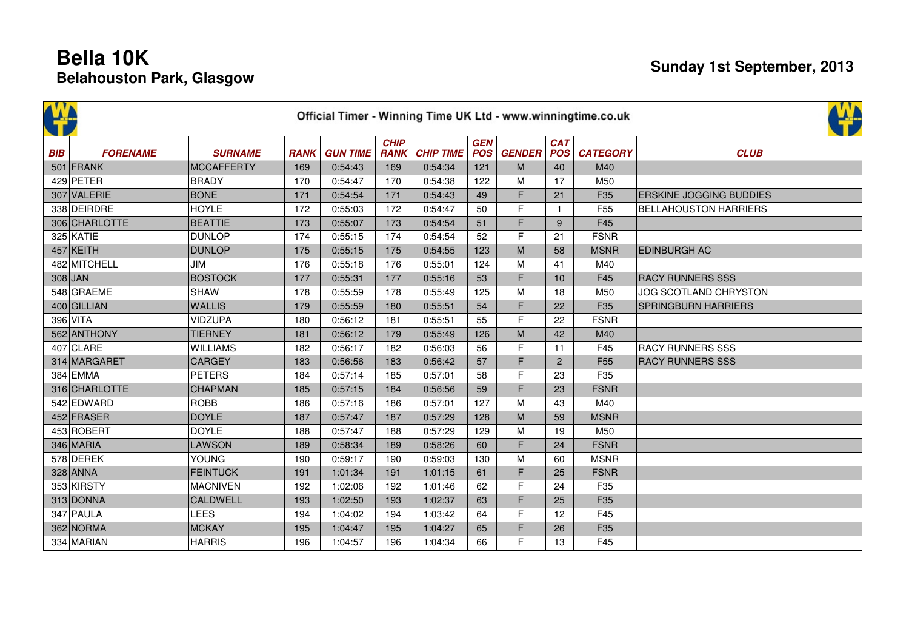|            | Official Timer - Winning Time UK Ltd - www.winningtime.co.uk |                   |             |                 |                            |                  |                          |               |                          |                 |                                |  |  |  |  |
|------------|--------------------------------------------------------------|-------------------|-------------|-----------------|----------------------------|------------------|--------------------------|---------------|--------------------------|-----------------|--------------------------------|--|--|--|--|
| <b>BIB</b> | <b>FORENAME</b>                                              | <b>SURNAME</b>    | <b>RANK</b> | <b>GUN TIME</b> | <b>CHIP</b><br><b>RANK</b> | <b>CHIP TIME</b> | <b>GEN</b><br><b>POS</b> | <b>GENDER</b> | <b>CAT</b><br><b>POS</b> | <b>CATEGORY</b> | <b>CLUB</b>                    |  |  |  |  |
|            | 501 FRANK                                                    | <b>MCCAFFERTY</b> | 169         | 0:54:43         | 169                        | 0:54:34          | 121                      | M             | 40                       | M40             |                                |  |  |  |  |
|            | 429 PETER                                                    | <b>BRADY</b>      | 170         | 0:54:47         | 170                        | 0:54:38          | 122                      | M             | 17                       | M50             |                                |  |  |  |  |
|            | 307 VALERIE                                                  | <b>BONE</b>       | 171         | 0:54:54         | 171                        | 0:54:43          | 49                       | F             | 21                       | F35             | <b>ERSKINE JOGGING BUDDIES</b> |  |  |  |  |
|            | 338 DEIRDRE                                                  | <b>HOYLE</b>      | 172         | 0:55:03         | 172                        | 0:54:47          | 50                       | F             | $\mathbf{1}$             | F <sub>55</sub> | <b>BELLAHOUSTON HARRIERS</b>   |  |  |  |  |
|            | 306 CHARLOTTE                                                | <b>BEATTIE</b>    | 173         | 0:55:07         | 173                        | 0:54:54          | 51                       | F             | 9                        | F45             |                                |  |  |  |  |
|            | 325 KATIE                                                    | <b>DUNLOP</b>     | 174         | 0:55:15         | 174                        | 0:54:54          | 52                       | F             | 21                       | <b>FSNR</b>     |                                |  |  |  |  |
|            | 457 KEITH                                                    | <b>DUNLOP</b>     | 175         | 0:55:15         | 175                        | 0:54:55          | 123                      | M             | 58                       | <b>MSNR</b>     | <b>EDINBURGH AC</b>            |  |  |  |  |
|            | 482 MITCHELL                                                 | <b>JIM</b>        | 176         | 0:55:18         | 176                        | 0:55:01          | 124                      | M             | 41                       | M40             |                                |  |  |  |  |
|            | $308$ JAN                                                    | <b>BOSTOCK</b>    | 177         | 0:55:31         | 177                        | 0:55:16          | 53                       | F             | 10                       | F45             | <b>RACY RUNNERS SSS</b>        |  |  |  |  |
|            | 548 GRAEME                                                   | <b>SHAW</b>       | 178         | 0:55:59         | 178                        | 0:55:49          | 125                      | M             | 18                       | M50             | <b>JOG SCOTLAND CHRYSTON</b>   |  |  |  |  |
|            | 400 GILLIAN                                                  | <b>WALLIS</b>     | 179         | 0:55:59         | 180                        | 0:55:51          | 54                       | F             | 22                       | F35             | <b>SPRINGBURN HARRIERS</b>     |  |  |  |  |
|            | 396 VITA                                                     | <b>VIDZUPA</b>    | 180         | 0:56:12         | 181                        | 0:55:51          | 55                       | $\mathsf{F}$  | 22                       | <b>FSNR</b>     |                                |  |  |  |  |
|            | 562 ANTHONY                                                  | <b>TIERNEY</b>    | 181         | 0:56:12         | 179                        | 0:55:49          | 126                      | M             | 42                       | M40             |                                |  |  |  |  |
|            | 407 CLARE                                                    | <b>WILLIAMS</b>   | 182         | 0:56:17         | 182                        | 0:56:03          | 56                       | E             | 11                       | F45             | <b>RACY RUNNERS SSS</b>        |  |  |  |  |
|            | 314 MARGARET                                                 | <b>CARGEY</b>     | 183         | 0:56:56         | 183                        | 0:56:42          | 57                       | F             | $\overline{2}$           | F <sub>55</sub> | <b>RACY RUNNERS SSS</b>        |  |  |  |  |
|            | 384 EMMA                                                     | <b>PETERS</b>     | 184         | 0:57:14         | 185                        | 0:57:01          | 58                       | F             | 23                       | F35             |                                |  |  |  |  |
|            | 316 CHARLOTTE                                                | <b>CHAPMAN</b>    | 185         | 0:57:15         | 184                        | 0:56:56          | 59                       | F             | 23                       | <b>FSNR</b>     |                                |  |  |  |  |
|            | 542 EDWARD                                                   | <b>ROBB</b>       | 186         | 0:57:16         | 186                        | 0:57:01          | 127                      | M             | 43                       | M40             |                                |  |  |  |  |
|            | 452 FRASER                                                   | <b>DOYLE</b>      | 187         | 0:57:47         | 187                        | 0:57:29          | 128                      | M             | 59                       | <b>MSNR</b>     |                                |  |  |  |  |
|            | 453 ROBERT                                                   | <b>DOYLE</b>      | 188         | 0:57:47         | 188                        | 0:57:29          | 129                      | М             | 19                       | M50             |                                |  |  |  |  |
|            | 346 MARIA                                                    | <b>LAWSON</b>     | 189         | 0:58:34         | 189                        | 0:58:26          | 60                       | F             | 24                       | <b>FSNR</b>     |                                |  |  |  |  |
|            | 578 DEREK                                                    | <b>YOUNG</b>      | 190         | 0:59:17         | 190                        | 0:59:03          | 130                      | M             | 60                       | <b>MSNR</b>     |                                |  |  |  |  |
|            | $328$ ANNA                                                   | <b>FEINTUCK</b>   | 191         | 1:01:34         | 191                        | 1:01:15          | 61                       | F             | 25                       | <b>FSNR</b>     |                                |  |  |  |  |
|            | 353 KIRSTY                                                   | <b>MACNIVEN</b>   | 192         | 1:02:06         | 192                        | 1:01:46          | 62                       | F             | 24                       | F35             |                                |  |  |  |  |
|            | 313 DONNA                                                    | <b>CALDWELL</b>   | 193         | 1:02:50         | 193                        | 1:02:37          | 63                       | F             | 25                       | F35             |                                |  |  |  |  |
|            | 347 PAULA                                                    | <b>LEES</b>       | 194         | 1:04:02         | 194                        | 1:03:42          | 64                       | F             | 12                       | F45             |                                |  |  |  |  |
|            | 362 NORMA                                                    | <b>MCKAY</b>      | 195         | 1:04:47         | 195                        | 1:04:27          | 65                       | F             | 26                       | F35             |                                |  |  |  |  |
|            | 334 MARIAN                                                   | <b>HARRIS</b>     | 196         | 1:04:57         | 196                        | 1:04:34          | 66                       | F             | 13                       | F45             |                                |  |  |  |  |